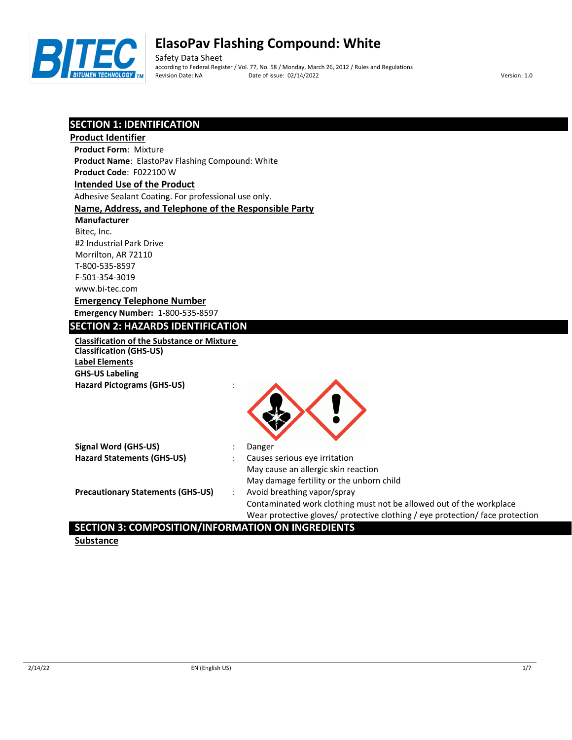

Safety Data Sheet according to Federal Register / Vol. 77, No. 58 / Monday, March 26, 2012 / Rules and Regulations Revision Date: NA Date of issue: 02/14/2022 Version: 1.0

## **SECTION 1: IDENTIFICATION**

| <u>SECTIUN I. IDENTIFICATIUN</u>                      |                                                                               |
|-------------------------------------------------------|-------------------------------------------------------------------------------|
| <b>Product Identifier</b>                             |                                                                               |
| <b>Product Form: Mixture</b>                          |                                                                               |
| Product Name: ElastoPav Flashing Compound: White      |                                                                               |
| Product Code: F022100 W                               |                                                                               |
| <b>Intended Use of the Product</b>                    |                                                                               |
| Adhesive Sealant Coating. For professional use only.  |                                                                               |
| Name, Address, and Telephone of the Responsible Party |                                                                               |
| Manufacturer                                          |                                                                               |
| Bitec, Inc.                                           |                                                                               |
| #2 Industrial Park Drive                              |                                                                               |
| Morrilton, AR 72110                                   |                                                                               |
| T-800-535-8597                                        |                                                                               |
| F-501-354-3019                                        |                                                                               |
| www.bi-tec.com                                        |                                                                               |
| <b>Emergency Telephone Number</b>                     |                                                                               |
| <b>Emergency Number: 1-800-535-8597</b>               |                                                                               |
| <b>SECTION 2: HAZARDS IDENTIFICATION</b>              |                                                                               |
| <b>Classification of the Substance or Mixture</b>     |                                                                               |
| <b>Classification (GHS-US)</b>                        |                                                                               |
| <b>Label Elements</b>                                 |                                                                               |
| <b>GHS-US Labeling</b>                                |                                                                               |
| <b>Hazard Pictograms (GHS-US)</b>                     |                                                                               |
|                                                       |                                                                               |
|                                                       |                                                                               |
|                                                       |                                                                               |
|                                                       |                                                                               |
| <b>Signal Word (GHS-US)</b>                           | Danger                                                                        |
| <b>Hazard Statements (GHS-US)</b>                     | Causes serious eye irritation                                                 |
|                                                       | May cause an allergic skin reaction                                           |
|                                                       | May damage fertility or the unborn child                                      |
| <b>Precautionary Statements (GHS-US)</b>              | Avoid breathing vapor/spray<br>$\ddot{\phantom{a}}$                           |
|                                                       | Contaminated work clothing must not be allowed out of the workplace           |
|                                                       | Wear protective gloves/ protective clothing / eye protection/ face protection |

## **SECTION 3: COMPOSITION/INFORMATION ON INGREDIENTS**

**Substance**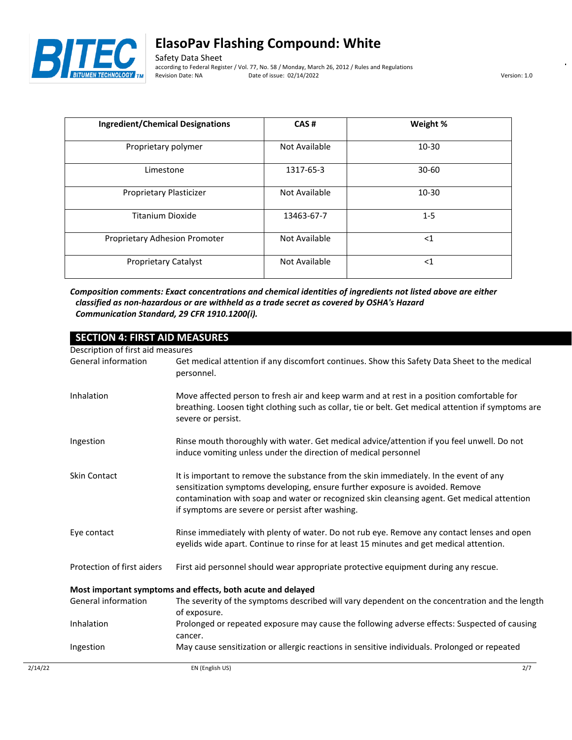

Safety Data Sheet according to Federal Register / Vol. 77, No. 58 / Monday, March 26, 2012 / Rules and Regulations Date of issue: 02/14/2022 Version: 1.0

| <b>Ingredient/Chemical Designations</b> | CAS#          | Weight %  |
|-----------------------------------------|---------------|-----------|
| Proprietary polymer                     | Not Available | 10-30     |
| Limestone                               | 1317-65-3     | $30 - 60$ |
| Proprietary Plasticizer                 | Not Available | 10-30     |
| Titanium Dioxide                        | 13463-67-7    | $1-5$     |
| Proprietary Adhesion Promoter           | Not Available | $<$ 1     |
| <b>Proprietary Catalyst</b>             | Not Available | $<$ 1     |

*Composition comments: Exact concentrations and chemical identities of ingredients not listed above are either classified as non-hazardous or are withheld as a trade secret as covered by OSHA's Hazard Communication Standard, 29 CFR 1910.1200(i).*

| <b>SECTION 4: FIRST AID MEASURES</b> |                                                                                                                                                                                                                                                                                                                            |
|--------------------------------------|----------------------------------------------------------------------------------------------------------------------------------------------------------------------------------------------------------------------------------------------------------------------------------------------------------------------------|
| Description of first aid measures    |                                                                                                                                                                                                                                                                                                                            |
| General information                  | Get medical attention if any discomfort continues. Show this Safety Data Sheet to the medical<br>personnel.                                                                                                                                                                                                                |
| Inhalation                           | Move affected person to fresh air and keep warm and at rest in a position comfortable for<br>breathing. Loosen tight clothing such as collar, tie or belt. Get medical attention if symptoms are<br>severe or persist.                                                                                                     |
| Ingestion                            | Rinse mouth thoroughly with water. Get medical advice/attention if you feel unwell. Do not<br>induce vomiting unless under the direction of medical personnel                                                                                                                                                              |
| <b>Skin Contact</b>                  | It is important to remove the substance from the skin immediately. In the event of any<br>sensitization symptoms developing, ensure further exposure is avoided. Remove<br>contamination with soap and water or recognized skin cleansing agent. Get medical attention<br>if symptoms are severe or persist after washing. |
| Eye contact                          | Rinse immediately with plenty of water. Do not rub eye. Remove any contact lenses and open<br>eyelids wide apart. Continue to rinse for at least 15 minutes and get medical attention.                                                                                                                                     |
| Protection of first aiders           | First aid personnel should wear appropriate protective equipment during any rescue.                                                                                                                                                                                                                                        |
|                                      | Most important symptoms and effects, both acute and delayed                                                                                                                                                                                                                                                                |
| General information                  | The severity of the symptoms described will vary dependent on the concentration and the length<br>of exposure.                                                                                                                                                                                                             |
| Inhalation                           | Prolonged or repeated exposure may cause the following adverse effects: Suspected of causing<br>cancer.                                                                                                                                                                                                                    |
| Ingestion                            | May cause sensitization or allergic reactions in sensitive individuals. Prolonged or repeated                                                                                                                                                                                                                              |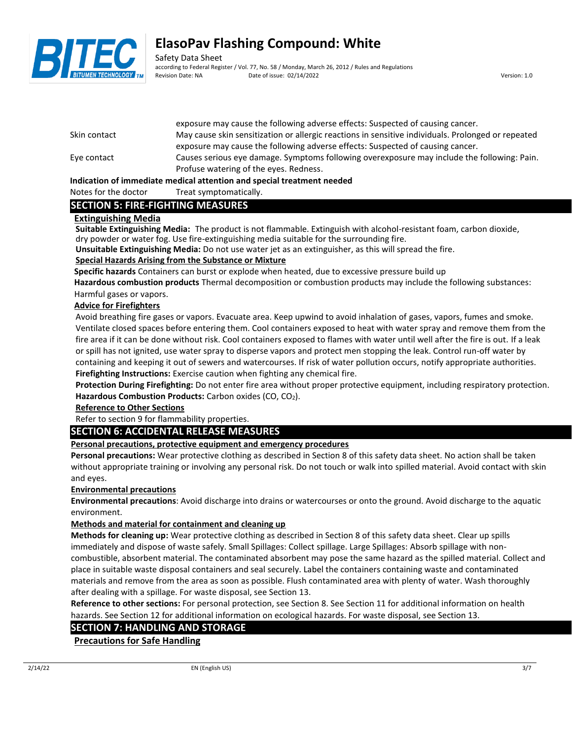

Safety Data Sheet according to Federal Register / Vol. 77, No. 58 / Monday, March 26, 2012 / Rules and Regulations Revision Date: NA Date of issue: 02/14/2022 Version: 1.0

|              | exposure may cause the following auverse effects. Suspected or causing called .                        |
|--------------|--------------------------------------------------------------------------------------------------------|
| Skin contact | May cause skin sensitization or allergic reactions in sensitive individuals. Prolonged or repeated     |
|              | exposure may cause the following adverse effects: Suspected of causing cancer.                         |
| Eye contact  | Causes serious eye damage. Symptoms following overexposure may include the following: Pain.            |
|              | Profuse watering of the eyes. Redness.                                                                 |
|              | the discussions of the consolidates are altered consecutives and accounted measurement of a disclosure |

exposure may cause the following adverse effects: Suspected of causing cancer.

### **Indication of immediate medical attention and special treatment needed**

### Notes for the doctor Treat symptomatically.

## **SECTION 5: FIRE-FIGHTING MEASURES**

### **Extinguishing Media**

**Suitable Extinguishing Media:** The product is not flammable. Extinguish with alcohol-resistant foam, carbon dioxide, dry powder or water fog. Use fire-extinguishing media suitable for the surrounding fire.

**Unsuitable Extinguishing Media:** Do not use water jet as an extinguisher, as this will spread the fire.

### **Special Hazards Arising from the Substance or Mixture**

**Specific hazards** Containers can burst or explode when heated, due to excessive pressure build up

**Hazardous combustion products** Thermal decomposition or combustion products may include the following substances: Harmful gases or vapors.

### **Advice for Firefighters**

Avoid breathing fire gases or vapors. Evacuate area. Keep upwind to avoid inhalation of gases, vapors, fumes and smoke. Ventilate closed spaces before entering them. Cool containers exposed to heat with water spray and remove them from the fire area if it can be done without risk. Cool containers exposed to flames with water until well after the fire is out. If a leak or spill has not ignited, use water spray to disperse vapors and protect men stopping the leak. Control run-off water by containing and keeping it out of sewers and watercourses. If risk of water pollution occurs, notify appropriate authorities. **Firefighting Instructions:** Exercise caution when fighting any chemical fire.

**Protection During Firefighting:** Do not enter fire area without proper protective equipment, including respiratory protection. Hazardous Combustion Products: Carbon oxides (CO, CO<sub>2</sub>).

### **Reference to Other Sections**

Refer to section 9 for flammability properties.

## **SECTION 6: ACCIDENTAL RELEASE MEASURES**

### **Personal precautions, protective equipment and emergency procedures**

**Personal precautions:** Wear protective clothing as described in Section 8 of this safety data sheet. No action shall be taken without appropriate training or involving any personal risk. Do not touch or walk into spilled material. Avoid contact with skin and eyes.

### **Environmental precautions**

**Environmental precautions**: Avoid discharge into drains or watercourses or onto the ground. Avoid discharge to the aquatic environment.

### **Methods and material for containment and cleaning up**

**Methods for cleaning up:** Wear protective clothing as described in Section 8 of this safety data sheet. Clear up spills immediately and dispose of waste safely. Small Spillages: Collect spillage. Large Spillages: Absorb spillage with noncombustible, absorbent material. The contaminated absorbent may pose the same hazard as the spilled material. Collect and place in suitable waste disposal containers and seal securely. Label the containers containing waste and contaminated materials and remove from the area as soon as possible. Flush contaminated area with plenty of water. Wash thoroughly after dealing with a spillage. For waste disposal, see Section 13.

**Reference to other sections:** For personal protection, see Section 8. See Section 11 for additional information on health hazards. See Section 12 for additional information on ecological hazards. For waste disposal, see Section 13.

## **SECTION 7: HANDLING AND STORAGE**

**Precautions for Safe Handling**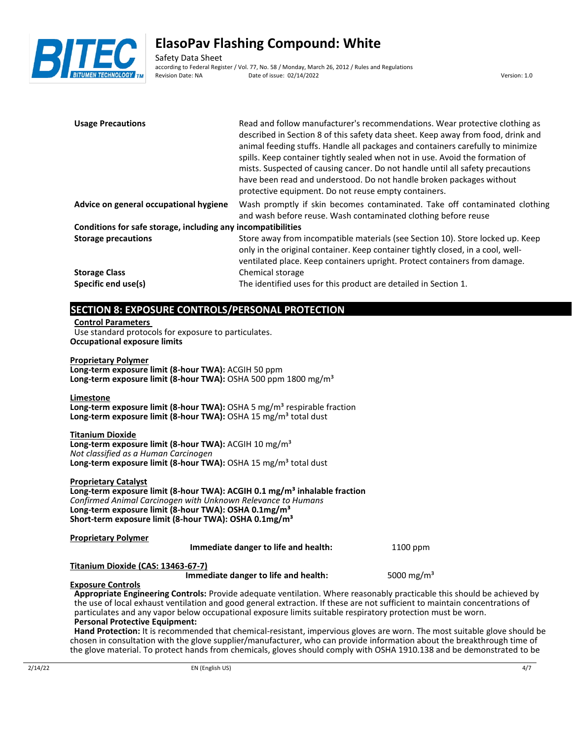

Safety Data Sheet according to Federal Register / Vol. 77, No. 58 / Monday, March 26, 2012 / Rules and Regulations<br>Revision Date: NA Date of issue: 02/14/2022 Date of issue: 02/14/2022 Version: 1.0

| <b>Usage Precautions</b>                                                                                                                                                                                                                                                                                                                                                                                                                                                                                  | spills. Keep container tightly sealed when not in use. Avoid the formation of<br>mists. Suspected of causing cancer. Do not handle until all safety precautions<br>have been read and understood. Do not handle broken packages without<br>protective equipment. Do not reuse empty containers. | Read and follow manufacturer's recommendations. Wear protective clothing as<br>described in Section 8 of this safety data sheet. Keep away from food, drink and<br>animal feeding stuffs. Handle all packages and containers carefully to minimize |  |  |
|-----------------------------------------------------------------------------------------------------------------------------------------------------------------------------------------------------------------------------------------------------------------------------------------------------------------------------------------------------------------------------------------------------------------------------------------------------------------------------------------------------------|-------------------------------------------------------------------------------------------------------------------------------------------------------------------------------------------------------------------------------------------------------------------------------------------------|----------------------------------------------------------------------------------------------------------------------------------------------------------------------------------------------------------------------------------------------------|--|--|
| Advice on general occupational hygiene                                                                                                                                                                                                                                                                                                                                                                                                                                                                    | and wash before reuse. Wash contaminated clothing before reuse                                                                                                                                                                                                                                  | Wash promptly if skin becomes contaminated. Take off contaminated clothing                                                                                                                                                                         |  |  |
| Conditions for safe storage, including any incompatibilities                                                                                                                                                                                                                                                                                                                                                                                                                                              |                                                                                                                                                                                                                                                                                                 |                                                                                                                                                                                                                                                    |  |  |
| <b>Storage precautions</b>                                                                                                                                                                                                                                                                                                                                                                                                                                                                                | only in the original container. Keep container tightly closed, in a cool, well-<br>ventilated place. Keep containers upright. Protect containers from damage.                                                                                                                                   | Store away from incompatible materials (see Section 10). Store locked up. Keep                                                                                                                                                                     |  |  |
| <b>Storage Class</b>                                                                                                                                                                                                                                                                                                                                                                                                                                                                                      | Chemical storage                                                                                                                                                                                                                                                                                |                                                                                                                                                                                                                                                    |  |  |
| Specific end use(s)                                                                                                                                                                                                                                                                                                                                                                                                                                                                                       | The identified uses for this product are detailed in Section 1.                                                                                                                                                                                                                                 |                                                                                                                                                                                                                                                    |  |  |
| <b>Control Parameters</b><br>Use standard protocols for exposure to particulates.<br><b>Occupational exposure limits</b><br><b>Proprietary Polymer</b><br>Long-term exposure limit (8-hour TWA): ACGIH 50 ppm<br>Long-term exposure limit (8-hour TWA): OSHA 500 ppm 1800 mg/m <sup>3</sup><br>Limestone<br>Long-term exposure limit (8-hour TWA): OSHA 5 mg/m <sup>3</sup> respirable fraction<br>Long-term exposure limit (8-hour TWA): OSHA 15 mg/m <sup>3</sup> total dust<br><b>Titanium Dioxide</b> |                                                                                                                                                                                                                                                                                                 |                                                                                                                                                                                                                                                    |  |  |
| Long-term exposure limit (8-hour TWA): ACGIH 10 mg/m <sup>3</sup><br>Not classified as a Human Carcinogen<br>Long-term exposure limit (8-hour TWA): OSHA 15 mg/m <sup>3</sup> total dust                                                                                                                                                                                                                                                                                                                  |                                                                                                                                                                                                                                                                                                 |                                                                                                                                                                                                                                                    |  |  |
| <b>Proprietary Catalyst</b><br>Long-term exposure limit (8-hour TWA): ACGIH 0.1 mg/m <sup>3</sup> inhalable fraction<br>Confirmed Animal Carcinogen with Unknown Relevance to Humans<br>Long-term exposure limit (8-hour TWA): OSHA 0.1mg/m <sup>3</sup><br>Short-term exposure limit (8-hour TWA): OSHA 0.1mg/m <sup>3</sup>                                                                                                                                                                             |                                                                                                                                                                                                                                                                                                 |                                                                                                                                                                                                                                                    |  |  |
| <b>Proprietary Polymer</b>                                                                                                                                                                                                                                                                                                                                                                                                                                                                                | Immediate danger to life and health:                                                                                                                                                                                                                                                            | 1100 ppm                                                                                                                                                                                                                                           |  |  |
| Titanium Dioxide (CAS: 13463-67-7)                                                                                                                                                                                                                                                                                                                                                                                                                                                                        |                                                                                                                                                                                                                                                                                                 |                                                                                                                                                                                                                                                    |  |  |

## **Exposure Controls**

**Appropriate Engineering Controls:** Provide adequate ventilation. Where reasonably practicable this should be achieved by the use of local exhaust ventilation and good general extraction. If these are not sufficient to maintain concentrations of particulates and any vapor below occupational exposure limits suitable respiratory protection must be worn. **Personal Protective Equipment:**

**Immediate danger to life and health:** 5000 mg/m<sup>3</sup>

**Hand Protection:** It is recommended that chemical-resistant, impervious gloves are worn. The most suitable glove should be chosen in consultation with the glove supplier/manufacturer, who can provide information about the breakthrough time of the glove material. To protect hands from chemicals, gloves should comply with OSHA 1910.138 and be demonstrated to be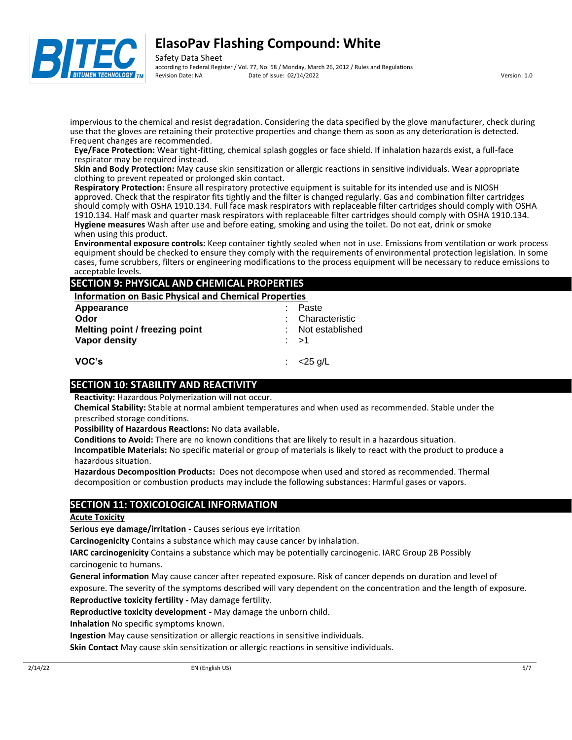

Safety Data Sheet according to Federal Register / Vol. 77, No. 58 / Monday, March 26, 2012 / Rules and Regulations Revision Date: NA Date of issue: 02/14/2022 Version: 1.0

impervious to the chemical and resist degradation. Considering the data specified by the glove manufacturer, check during use that the gloves are retaining their protective properties and change them as soon as any deterioration is detected. Frequent changes are recommended.

**Eye/Face Protection:** Wear tight-fitting, chemical splash goggles or face shield. If inhalation hazards exist, a full-face respirator may be required instead.

**Skin and Body Protection:** May cause skin sensitization or allergic reactions in sensitive individuals. Wear appropriate clothing to prevent repeated or prolonged skin contact.

**Respiratory Protection:** Ensure all respiratory protective equipment is suitable for its intended use and is NIOSH approved. Check that the respirator fits tightly and the filter is changed regularly. Gas and combination filter cartridges should comply with OSHA 1910.134. Full face mask respirators with replaceable filter cartridges should comply with OSHA 1910.134. Half mask and quarter mask respirators with replaceable filter cartridges should comply with OSHA 1910.134. **Hygiene measures** Wash after use and before eating, smoking and using the toilet. Do not eat, drink or smoke when using this product.

**Environmental exposure controls:** Keep container tightly sealed when not in use. Emissions from ventilation or work process equipment should be checked to ensure they comply with the requirements of environmental protection legislation. In some cases, fume scrubbers, filters or engineering modifications to the process equipment will be necessary to reduce emissions to acceptable levels.

## **SECTION 9: PHYSICAL AND CHEMICAL PROPERTIES**

**Information on Basic Physical and Chemical Properties** 

| Appearance                     | Paste             |
|--------------------------------|-------------------|
| Odor                           | : Characteristic  |
| Melting point / freezing point | : Not established |
| Vapor density                  | : >1              |
|                                |                   |
| VOC's                          | $<$ 25 g/L        |

## **SECTION 10: STABILITY AND REACTIVITY**

**Reactivity:** Hazardous Polymerization will not occur.

**Chemical Stability:** Stable at normal ambient temperatures and when used as recommended. Stable under the prescribed storage conditions.

**Possibility of Hazardous Reactions:** No data available**.**

**Conditions to Avoid:** There are no known conditions that are likely to result in a hazardous situation.

**Incompatible Materials:** No specific material or group of materials is likely to react with the product to produce a hazardous situation.

**Hazardous Decomposition Products:** Does not decompose when used and stored as recommended. Thermal decomposition or combustion products may include the following substances: Harmful gases or vapors.

## **SECTION 11: TOXICOLOGICAL INFORMATION**

### **Acute Toxicity**

**Serious eye damage/irritation** - Causes serious eye irritation

**Carcinogenicity** Contains a substance which may cause cancer by inhalation.

**IARC carcinogenicity** Contains a substance which may be potentially carcinogenic. IARC Group 2B Possibly carcinogenic to humans.

**General information** May cause cancer after repeated exposure. Risk of cancer depends on duration and level of exposure. The severity of the symptoms described will vary dependent on the concentration and the length of exposure. **Reproductive toxicity fertility -** May damage fertility.

**Reproductive toxicity development -** May damage the unborn child.

**Inhalation** No specific symptoms known.

**Ingestion** May cause sensitization or allergic reactions in sensitive individuals.

**Skin Contact** May cause skin sensitization or allergic reactions in sensitive individuals.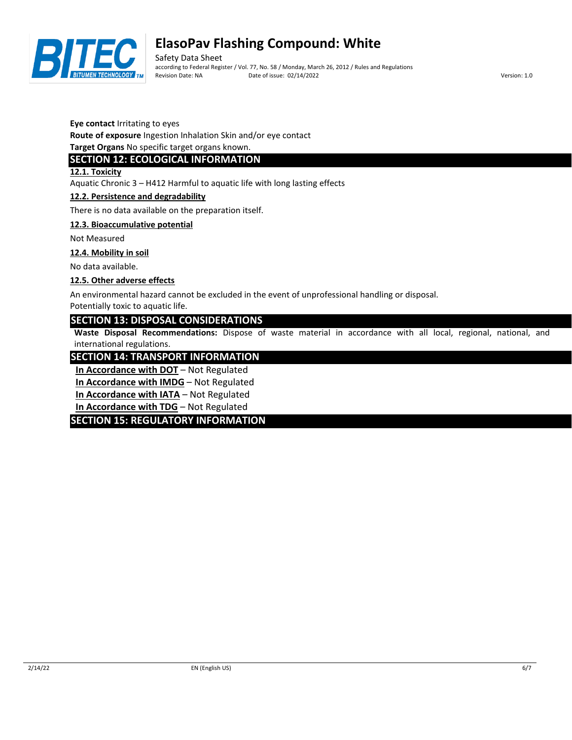

Safety Data Sheet according to Federal Register / Vol. 77, No. 58 / Monday, March 26, 2012 / Rules and Regulations Revision Date: NA Date of issue: 02/14/2022 Version: 1.0

**Eye contact** Irritating to eyes

**Route of exposure** Ingestion Inhalation Skin and/or eye contact

**Target Organs** No specific target organs known.

## **SECTION 12: ECOLOGICAL INFORMATION**

**12.1. Toxicity**

Aquatic Chronic 3 – H412 Harmful to aquatic life with long lasting effects

### **12.2. Persistence and degradability**

There is no data available on the preparation itself.

### **12.3. Bioaccumulative potential**

Not Measured

### **12.4. Mobility in soil**

No data available.

### **12.5. Other adverse effects**

An environmental hazard cannot be excluded in the event of unprofessional handling or disposal.

Potentially toxic to aquatic life.

## **SECTION 13: DISPOSAL CONSIDERATIONS**

**Waste Disposal Recommendations:** Dispose of waste material in accordance with all local, regional, national, and international regulations.

## **SECTION 14: TRANSPORT INFORMATION**

**In Accordance with DOT** – Not Regulated

**In Accordance with IMDG** – Not Regulated

**In Accordance with IATA** – Not Regulated

**In Accordance with TDG** – Not Regulated

## **SECTION 15: REGULATORY INFORMATION**